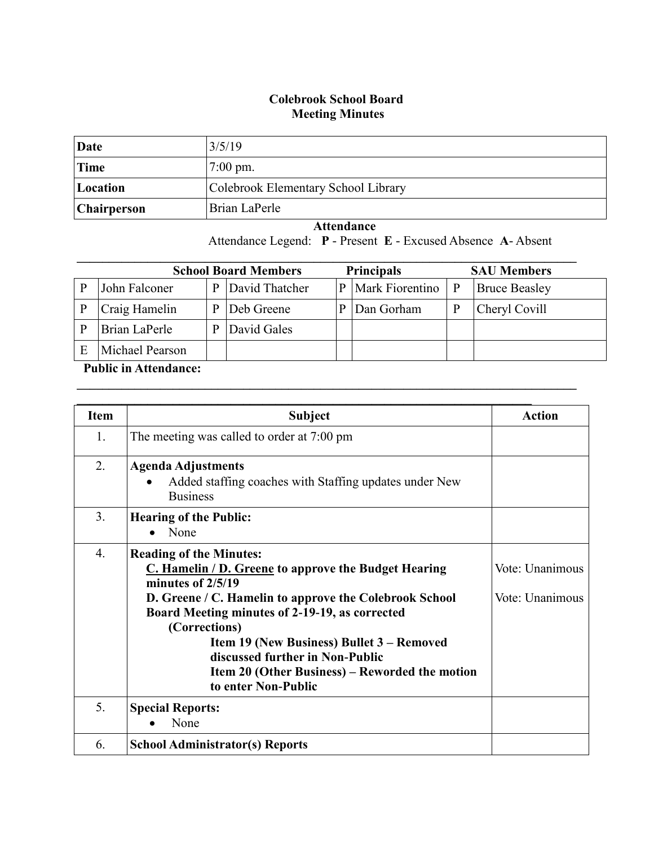## **Colebrook School Board Meeting Minutes**

| Date        | 3/5/19                              |
|-------------|-------------------------------------|
| Time        | $7:00 \text{ pm}$ .                 |
| Location    | Colebrook Elementary School Library |
| Chairperson | Brian LaPerle                       |

 **Attendance** Attendance Legend: **P** - Present **E** - Excused Absence **A**- Absent

| <b>Principals</b><br><b>School Board Members</b><br><b>SAU Members</b> |   |                |   |                        |   |                      |
|------------------------------------------------------------------------|---|----------------|---|------------------------|---|----------------------|
| John Falconer                                                          | D | David Thatcher | P | <b>Mark Fiorentino</b> | P | <b>Bruce Beasley</b> |
| Craig Hamelin                                                          |   | Deb Greene     |   | Dan Gorham             |   | Cheryl Covill        |
| Brian LaPerle                                                          |   | David Gales    |   |                        |   |                      |
| Michael Pearson                                                        |   |                |   |                        |   |                      |

 $\mathcal{L}_\mathcal{L} = \{ \mathcal{L}_\mathcal{L} = \{ \mathcal{L}_\mathcal{L} = \{ \mathcal{L}_\mathcal{L} = \{ \mathcal{L}_\mathcal{L} = \{ \mathcal{L}_\mathcal{L} = \{ \mathcal{L}_\mathcal{L} = \{ \mathcal{L}_\mathcal{L} = \{ \mathcal{L}_\mathcal{L} = \{ \mathcal{L}_\mathcal{L} = \{ \mathcal{L}_\mathcal{L} = \{ \mathcal{L}_\mathcal{L} = \{ \mathcal{L}_\mathcal{L} = \{ \mathcal{L}_\mathcal{L} = \{ \mathcal{L}_\mathcal{$ 

## **Public in Attendance:**

| Item             | <b>Subject</b>                                                                                                                                                                                                                                                                                                                                                                                             | <b>Action</b>                      |
|------------------|------------------------------------------------------------------------------------------------------------------------------------------------------------------------------------------------------------------------------------------------------------------------------------------------------------------------------------------------------------------------------------------------------------|------------------------------------|
| 1.               | The meeting was called to order at 7:00 pm                                                                                                                                                                                                                                                                                                                                                                 |                                    |
| 2.               | <b>Agenda Adjustments</b><br>Added staffing coaches with Staffing updates under New<br><b>Business</b>                                                                                                                                                                                                                                                                                                     |                                    |
| 3.               | <b>Hearing of the Public:</b><br>None                                                                                                                                                                                                                                                                                                                                                                      |                                    |
| $\overline{4}$ . | <b>Reading of the Minutes:</b><br>C. Hamelin / D. Greene to approve the Budget Hearing<br>minutes of $2/5/19$<br>D. Greene / C. Hamelin to approve the Colebrook School<br>Board Meeting minutes of 2-19-19, as corrected<br>(Corrections)<br>Item 19 (New Business) Bullet 3 - Removed<br>discussed further in Non-Public<br><b>Item 20 (Other Business) – Reworded the motion</b><br>to enter Non-Public | Vote: Unanimous<br>Vote: Unanimous |
| 5.               | <b>Special Reports:</b><br>None                                                                                                                                                                                                                                                                                                                                                                            |                                    |
| 6.               | <b>School Administrator(s) Reports</b>                                                                                                                                                                                                                                                                                                                                                                     |                                    |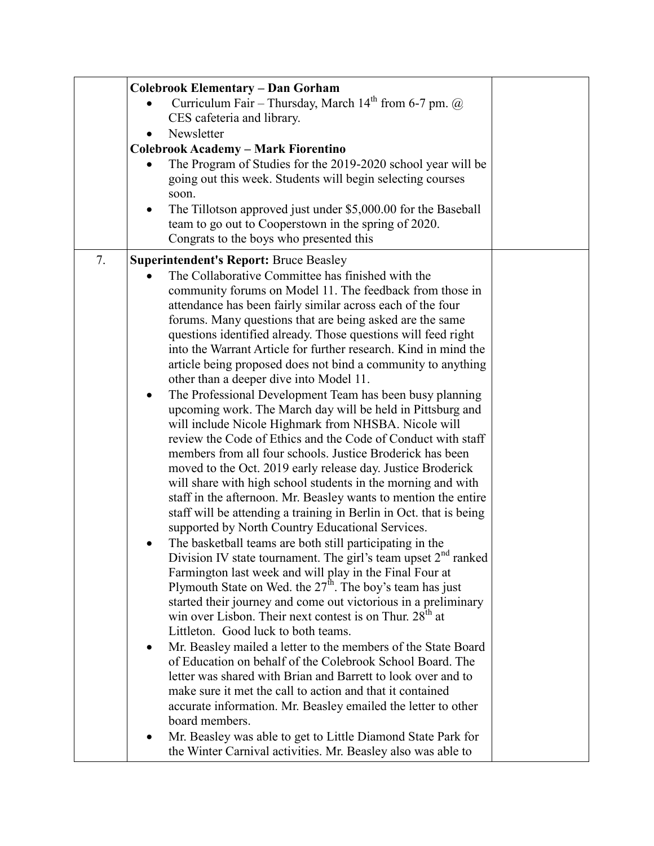|    | <b>Colebrook Elementary - Dan Gorham</b>                                                                                                                                                                                                                                                                                                                                                                                                                                                                                                                                                                                                                                                                                                                                                                                                                                                                                                                                                                                                                                                                                                                                                                                                                                                                                                                                                                                                                                                                                                                                                                                                                                                                                                                                                                                                                                                                                                                                                               |  |
|----|--------------------------------------------------------------------------------------------------------------------------------------------------------------------------------------------------------------------------------------------------------------------------------------------------------------------------------------------------------------------------------------------------------------------------------------------------------------------------------------------------------------------------------------------------------------------------------------------------------------------------------------------------------------------------------------------------------------------------------------------------------------------------------------------------------------------------------------------------------------------------------------------------------------------------------------------------------------------------------------------------------------------------------------------------------------------------------------------------------------------------------------------------------------------------------------------------------------------------------------------------------------------------------------------------------------------------------------------------------------------------------------------------------------------------------------------------------------------------------------------------------------------------------------------------------------------------------------------------------------------------------------------------------------------------------------------------------------------------------------------------------------------------------------------------------------------------------------------------------------------------------------------------------------------------------------------------------------------------------------------------------|--|
|    | Curriculum Fair – Thursday, March $14th$ from 6-7 pm. $\omega$                                                                                                                                                                                                                                                                                                                                                                                                                                                                                                                                                                                                                                                                                                                                                                                                                                                                                                                                                                                                                                                                                                                                                                                                                                                                                                                                                                                                                                                                                                                                                                                                                                                                                                                                                                                                                                                                                                                                         |  |
|    | CES cafeteria and library.                                                                                                                                                                                                                                                                                                                                                                                                                                                                                                                                                                                                                                                                                                                                                                                                                                                                                                                                                                                                                                                                                                                                                                                                                                                                                                                                                                                                                                                                                                                                                                                                                                                                                                                                                                                                                                                                                                                                                                             |  |
|    | Newsletter                                                                                                                                                                                                                                                                                                                                                                                                                                                                                                                                                                                                                                                                                                                                                                                                                                                                                                                                                                                                                                                                                                                                                                                                                                                                                                                                                                                                                                                                                                                                                                                                                                                                                                                                                                                                                                                                                                                                                                                             |  |
|    | <b>Colebrook Academy - Mark Fiorentino</b>                                                                                                                                                                                                                                                                                                                                                                                                                                                                                                                                                                                                                                                                                                                                                                                                                                                                                                                                                                                                                                                                                                                                                                                                                                                                                                                                                                                                                                                                                                                                                                                                                                                                                                                                                                                                                                                                                                                                                             |  |
|    | The Program of Studies for the 2019-2020 school year will be<br>going out this week. Students will begin selecting courses<br>soon.                                                                                                                                                                                                                                                                                                                                                                                                                                                                                                                                                                                                                                                                                                                                                                                                                                                                                                                                                                                                                                                                                                                                                                                                                                                                                                                                                                                                                                                                                                                                                                                                                                                                                                                                                                                                                                                                    |  |
|    | The Tillotson approved just under \$5,000.00 for the Baseball<br>team to go out to Cooperstown in the spring of 2020.<br>Congrats to the boys who presented this                                                                                                                                                                                                                                                                                                                                                                                                                                                                                                                                                                                                                                                                                                                                                                                                                                                                                                                                                                                                                                                                                                                                                                                                                                                                                                                                                                                                                                                                                                                                                                                                                                                                                                                                                                                                                                       |  |
| 7. | <b>Superintendent's Report: Bruce Beasley</b>                                                                                                                                                                                                                                                                                                                                                                                                                                                                                                                                                                                                                                                                                                                                                                                                                                                                                                                                                                                                                                                                                                                                                                                                                                                                                                                                                                                                                                                                                                                                                                                                                                                                                                                                                                                                                                                                                                                                                          |  |
|    | The Collaborative Committee has finished with the<br>community forums on Model 11. The feedback from those in<br>attendance has been fairly similar across each of the four<br>forums. Many questions that are being asked are the same<br>questions identified already. Those questions will feed right<br>into the Warrant Article for further research. Kind in mind the<br>article being proposed does not bind a community to anything<br>other than a deeper dive into Model 11.<br>The Professional Development Team has been busy planning<br>$\bullet$<br>upcoming work. The March day will be held in Pittsburg and<br>will include Nicole Highmark from NHSBA. Nicole will<br>review the Code of Ethics and the Code of Conduct with staff<br>members from all four schools. Justice Broderick has been<br>moved to the Oct. 2019 early release day. Justice Broderick<br>will share with high school students in the morning and with<br>staff in the afternoon. Mr. Beasley wants to mention the entire<br>staff will be attending a training in Berlin in Oct. that is being<br>supported by North Country Educational Services.<br>The basketball teams are both still participating in the<br>Division IV state tournament. The girl's team upset $2nd$ ranked<br>Farmington last week and will play in the Final Four at<br>Plymouth State on Wed. the $27th$ . The boy's team has just<br>started their journey and come out victorious in a preliminary<br>win over Lisbon. Their next contest is on Thur. 28 <sup>th</sup> at<br>Littleton. Good luck to both teams.<br>Mr. Beasley mailed a letter to the members of the State Board<br>of Education on behalf of the Colebrook School Board. The<br>letter was shared with Brian and Barrett to look over and to<br>make sure it met the call to action and that it contained<br>accurate information. Mr. Beasley emailed the letter to other<br>board members.<br>Mr. Beasley was able to get to Little Diamond State Park for |  |
|    | the Winter Carnival activities. Mr. Beasley also was able to                                                                                                                                                                                                                                                                                                                                                                                                                                                                                                                                                                                                                                                                                                                                                                                                                                                                                                                                                                                                                                                                                                                                                                                                                                                                                                                                                                                                                                                                                                                                                                                                                                                                                                                                                                                                                                                                                                                                           |  |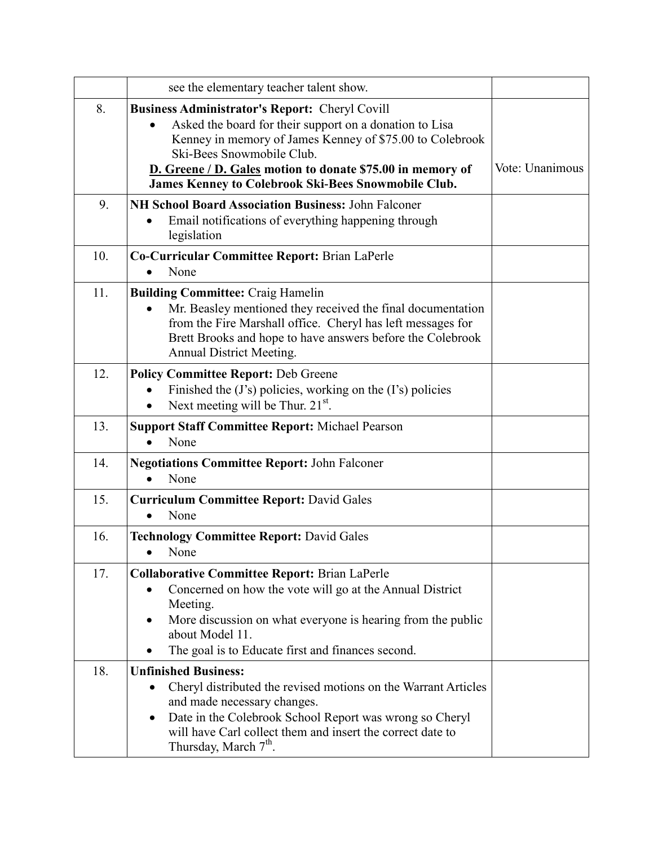|     | see the elementary teacher talent show.                                                                                                                                                                                                                                                                                               |                 |
|-----|---------------------------------------------------------------------------------------------------------------------------------------------------------------------------------------------------------------------------------------------------------------------------------------------------------------------------------------|-----------------|
| 8.  | <b>Business Administrator's Report: Cheryl Covill</b><br>Asked the board for their support on a donation to Lisa<br>Kenney in memory of James Kenney of \$75.00 to Colebrook<br>Ski-Bees Snowmobile Club.<br>D. Greene / D. Gales motion to donate \$75.00 in memory of<br><b>James Kenney to Colebrook Ski-Bees Snowmobile Club.</b> | Vote: Unanimous |
| 9.  | NH School Board Association Business: John Falconer<br>Email notifications of everything happening through<br>legislation                                                                                                                                                                                                             |                 |
| 10. | Co-Curricular Committee Report: Brian LaPerle<br>None                                                                                                                                                                                                                                                                                 |                 |
| 11. | <b>Building Committee: Craig Hamelin</b><br>Mr. Beasley mentioned they received the final documentation<br>from the Fire Marshall office. Cheryl has left messages for<br>Brett Brooks and hope to have answers before the Colebrook<br><b>Annual District Meeting.</b>                                                               |                 |
| 12. | <b>Policy Committee Report: Deb Greene</b><br>Finished the (J's) policies, working on the (I's) policies<br>Next meeting will be Thur. 21 <sup>st</sup> .<br>$\bullet$                                                                                                                                                                |                 |
| 13. | <b>Support Staff Committee Report: Michael Pearson</b><br>None                                                                                                                                                                                                                                                                        |                 |
| 14. | <b>Negotiations Committee Report: John Falconer</b><br>None                                                                                                                                                                                                                                                                           |                 |
| 15. | <b>Curriculum Committee Report: David Gales</b><br>None<br>$\bullet$                                                                                                                                                                                                                                                                  |                 |
| 16. | <b>Technology Committee Report: David Gales</b><br>None<br>$\bullet$                                                                                                                                                                                                                                                                  |                 |
| 17. | <b>Collaborative Committee Report: Brian LaPerle</b><br>Concerned on how the vote will go at the Annual District<br>Meeting.<br>More discussion on what everyone is hearing from the public<br>about Model 11.<br>The goal is to Educate first and finances second.                                                                   |                 |
| 18. | <b>Unfinished Business:</b><br>Cheryl distributed the revised motions on the Warrant Articles<br>and made necessary changes.<br>Date in the Colebrook School Report was wrong so Cheryl<br>٠<br>will have Carl collect them and insert the correct date to<br>Thursday, March 7 <sup>th</sup> .                                       |                 |